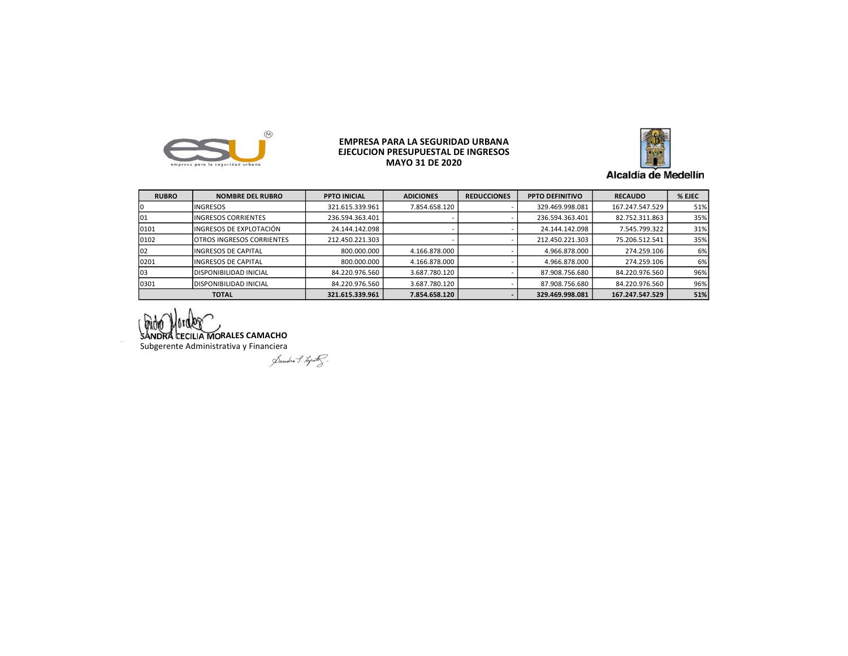

## EMPRESA PARA LA SEGURIDAD URBANA EJECUCIÓN PRESUPUESTAL DE INGRESOS MAYO 31 DE 2020



Alcaldía de Medellín

| <b>RUBRO</b> | <b>NOMBRE DEL RUBRO</b>          | <b>PPTO INICIAL</b> | <b>ADICIONES</b> | <b>REDUCCIONES</b> | <b>PPTO DEFINITIVO</b> | <b>RECAUDO</b>  | % EJEC |
|--------------|----------------------------------|---------------------|------------------|--------------------|------------------------|-----------------|--------|
|              | <b>INGRESOS</b>                  | 321.615.339.961     | 7.854.658.120    |                    | 329.469.998.081        | 167.247.547.529 | 51%    |
| 101          | <b>INGRESOS CORRIENTES</b>       | 236.594.363.401     |                  |                    | 236.594.363.401        | 82.752.311.863  | 35%    |
| 10101        | INGRESOS DE EXPLOTACIÓN          | 24.144.142.098      |                  |                    | 24.144.142.098         | 7.545.799.322   | 31%    |
| 0102         | <b>OTROS INGRESOS CORRIENTES</b> | 212.450.221.303     |                  |                    | 212.450.221.303        | 75.206.512.541  | 35%    |
| 102          | <b>INGRESOS DE CAPITAL</b>       | 800.000.000         | 4.166.878.000    |                    | 4.966.878.000          | 274.259.106     | 6%     |
| 0201         | <b>INGRESOS DE CAPITAL</b>       | 800.000.000         | 4.166.878.000    |                    | 4.966.878.000          | 274.259.106     | 6%     |
| 103          | DISPONIBILIDAD INICIAL           | 84.220.976.560      | 3.687.780.120    |                    | 87.908.756.680         | 84.220.976.560  | 96%    |
| 0301         | <b>DISPONIBILIDAD INICIAL</b>    | 84.220.976.560      | 3.687.780.120    |                    | 87.908.756.680         | 84.220.976.560  | 96%    |
|              | <b>TOTAL</b>                     | 321.615.339.961     | 7.854.658.120    |                    | 329.469.998.081        | 167.247.547.529 | 51%    |

SANDRA CECILIA MORALES CAMACHO

Subgerente Administrativa y Financiera<br>Subgerente Administrativa y Financiera<br>Subset of the Subset of the Subset of the Subset of the Subset of the Subset of the Subset of the Subset of the Subset of the Subset of the Sub